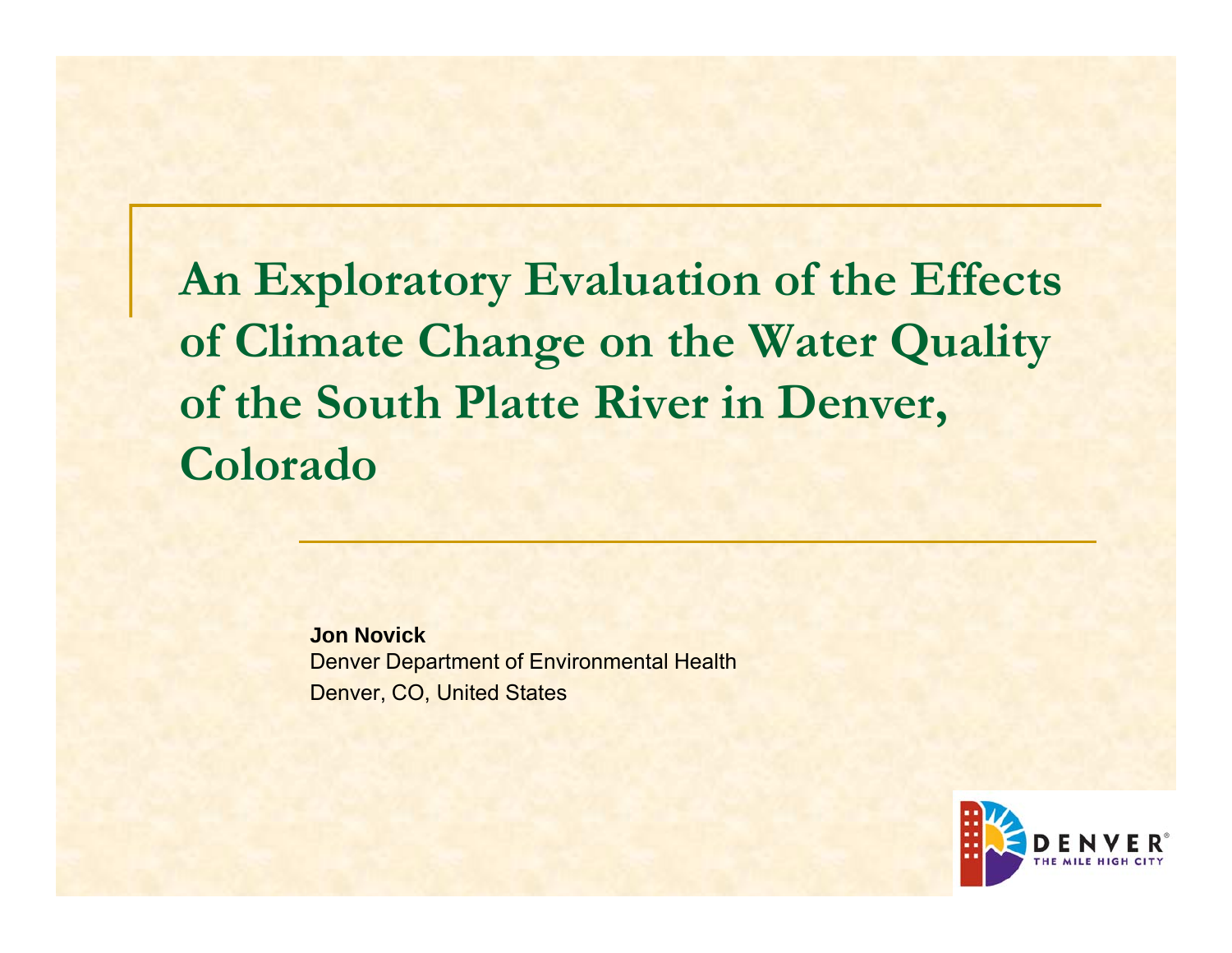**An Exploratory Evaluation of the Effects of Climate Change on the Water Quality of the South Platte River in Denver, Colorado**

> **Jon Novick**Denver Department of Environmental Health Denver, CO, United States

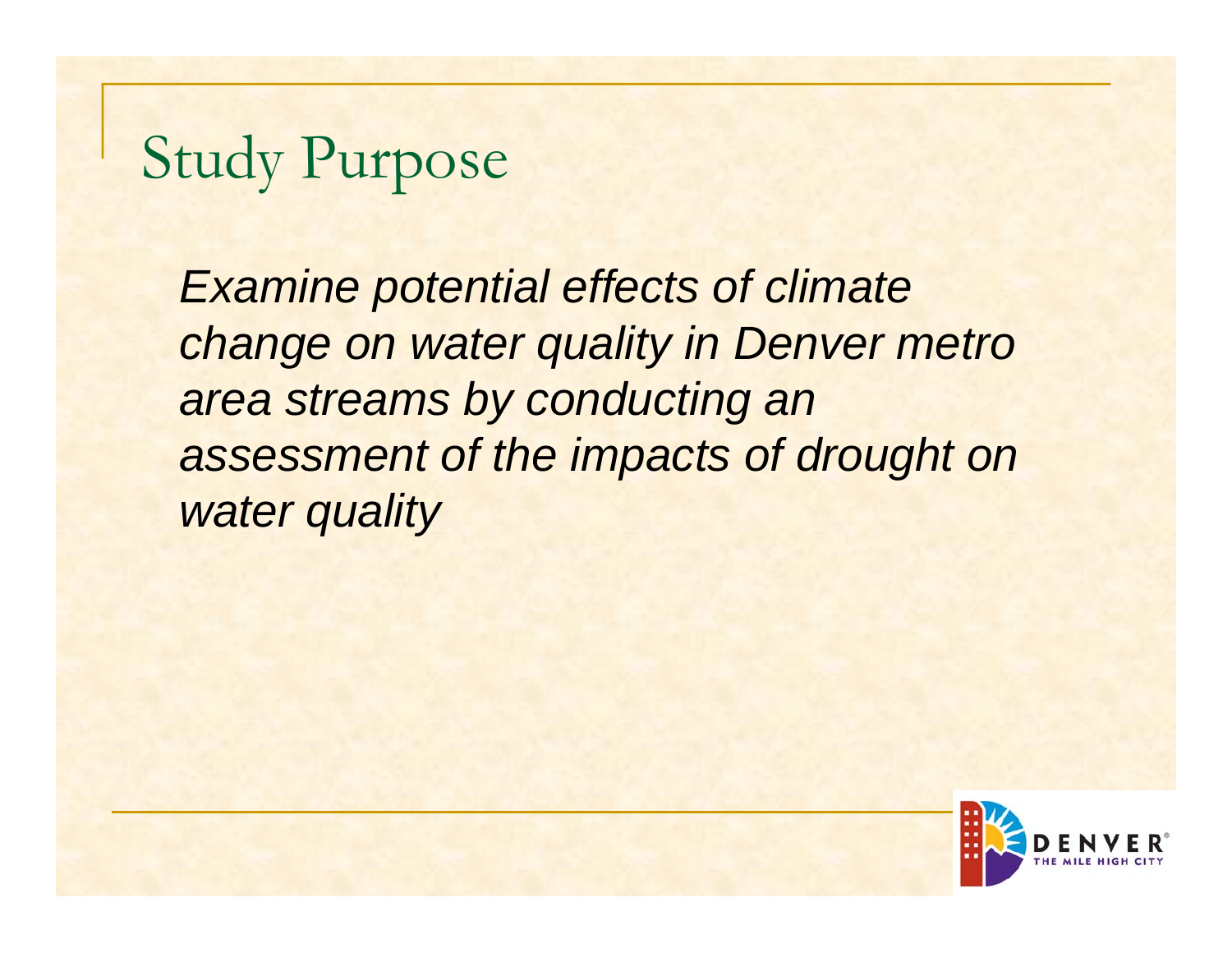## Study Purpose

*Examine potential effects of climate change on water quality in Denver metro area streams by conducting an assessment of the impacts of drought on water quality*

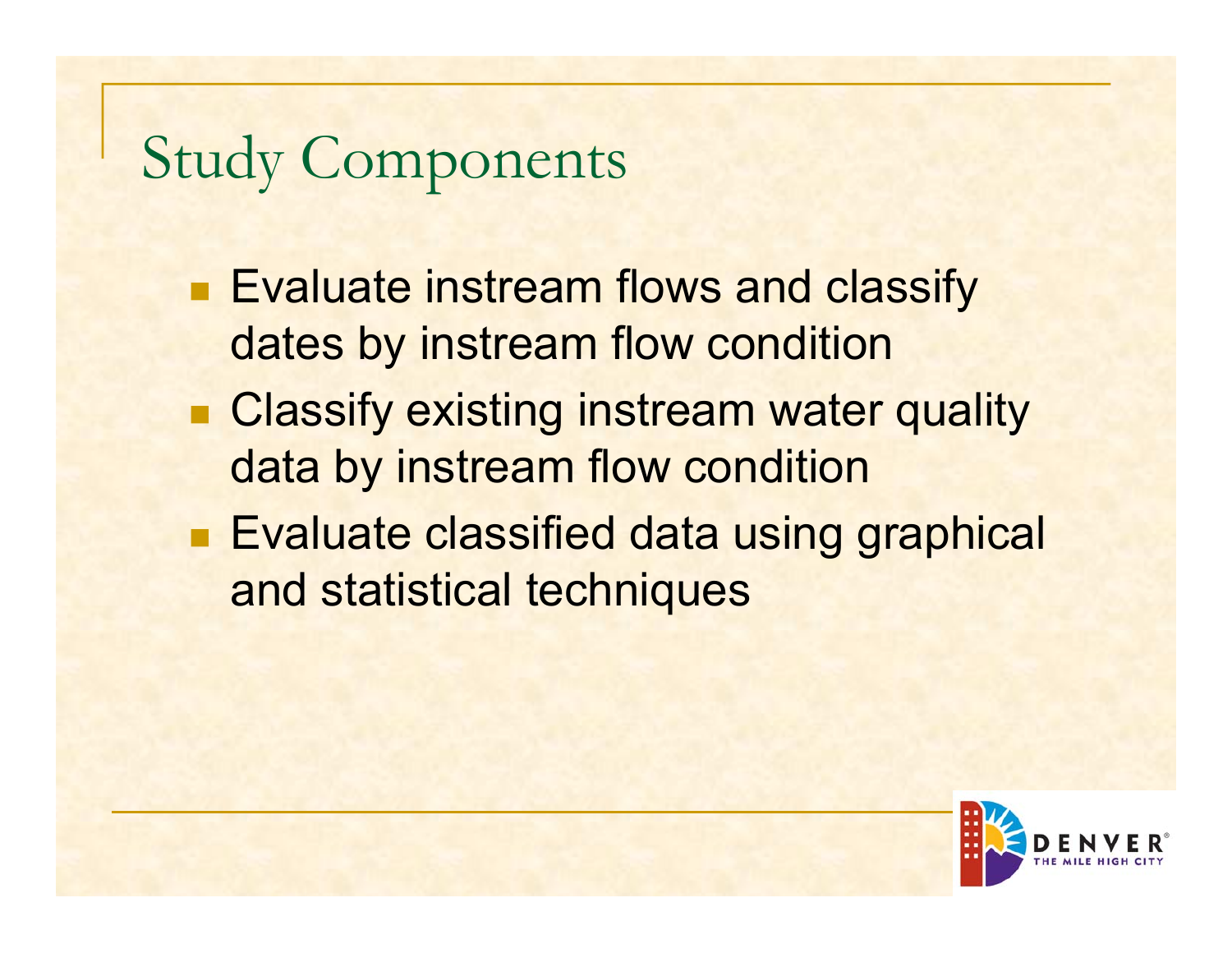## Study Components

- **Evaluate instream flows and classify** dates by instream flow condition
- **Example Classify existing instream water quality** data by instream flow condition
- **Evaluate classified data using graphical** and statistical techniques

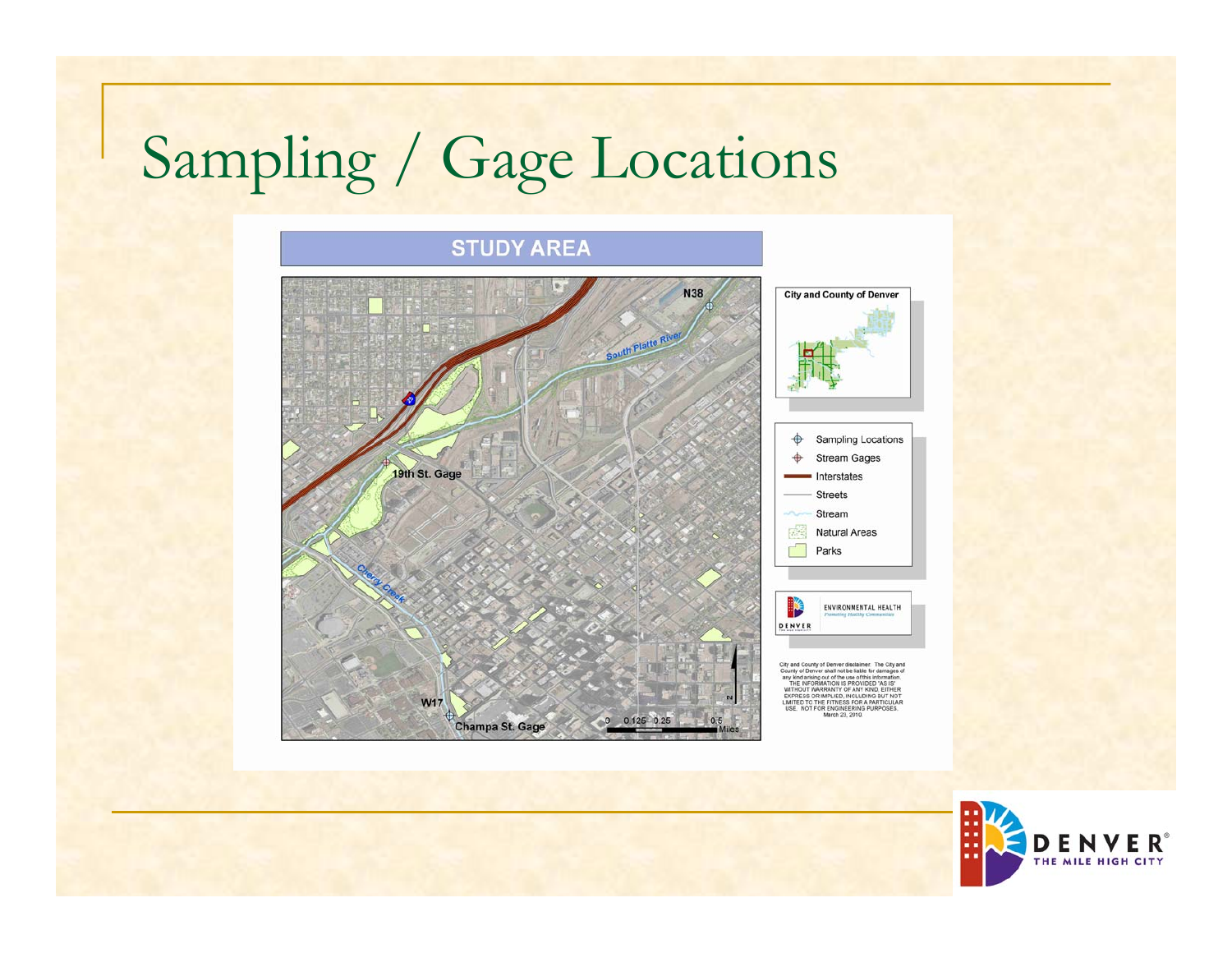## Sampling / Gage Locations



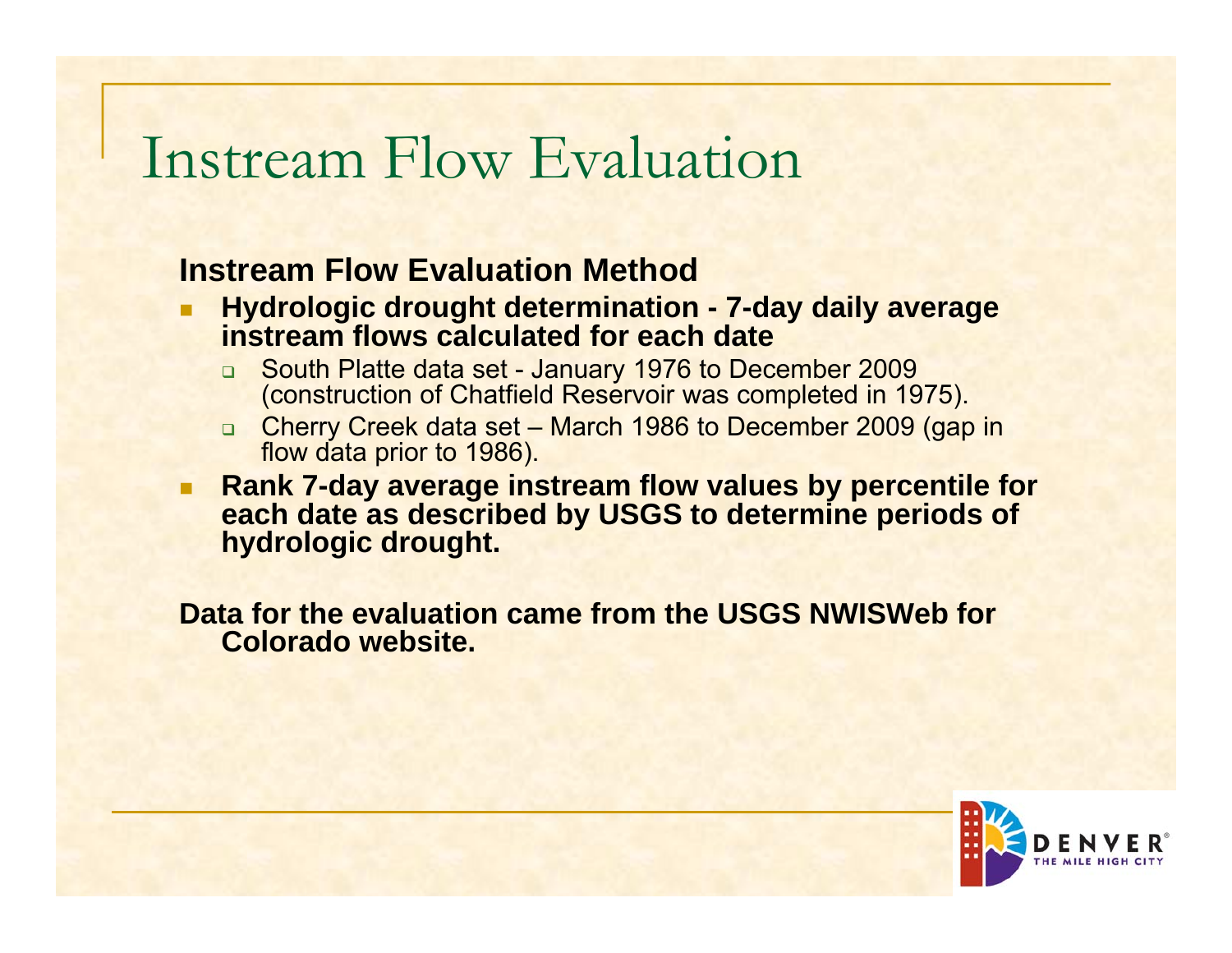### Instream Flow Evaluation

### **Instream Flow Evaluation Method**

- п **Hydrologic drought determination - 7-day daily average instream flows calculated for each date** 
	- South Platte data set January 1976 to December 2009 (construction of Chatfield Reservoir was completed in 1975).
	- Cherry Creek data set March 1986 to December 2009 (gap in flow data prior to 1986).
- a. **Rank 7-day average instream flow values by percentile for each date as described by USGS to determine periods of hydrologic drought.**

**Data for the evaluation came from the USGS NWISWeb for Colorado website.**

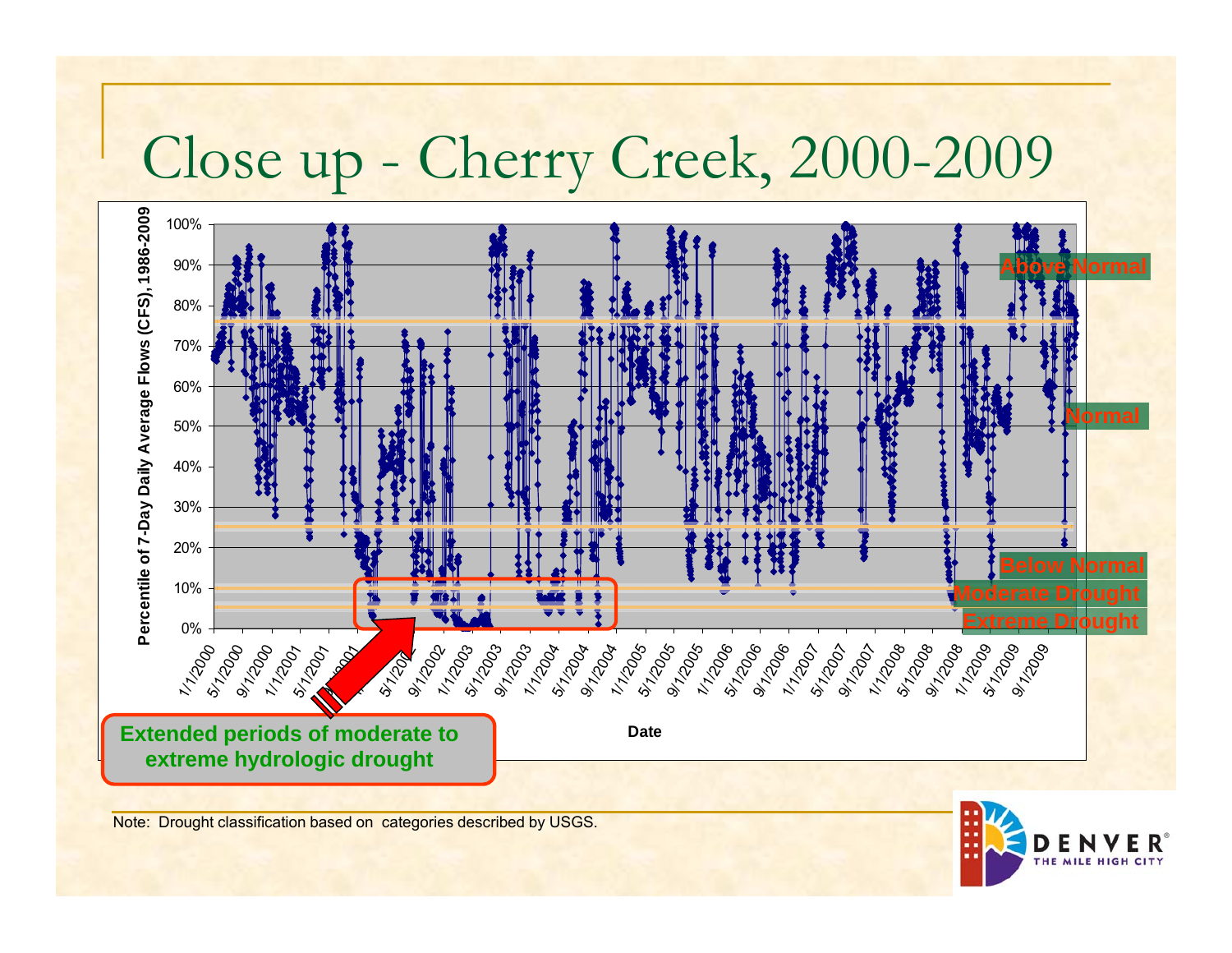## Close up - Cherry Creek, 2000-2009



Note: Drought classification based on categories described by USGS.

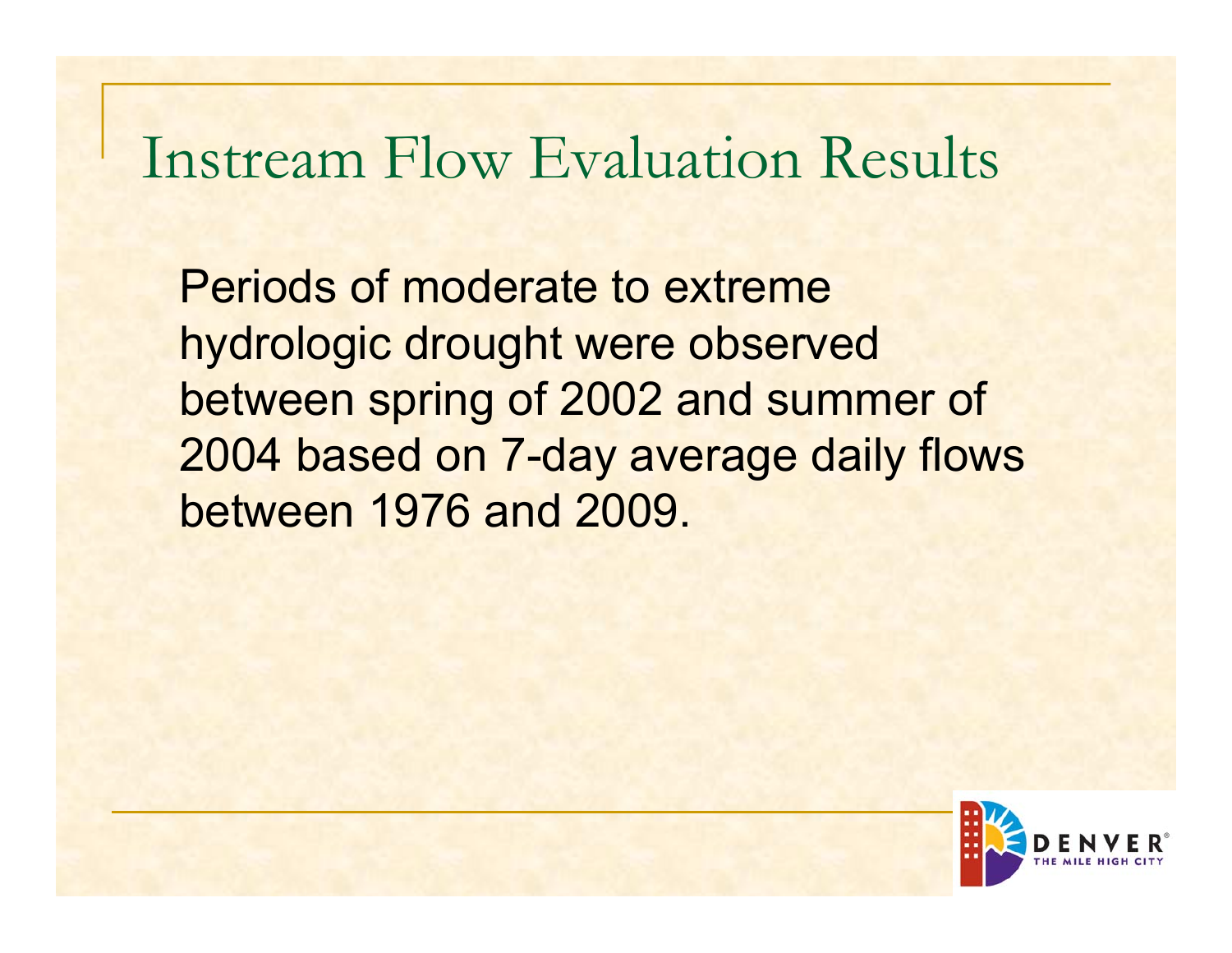## Instream Flow Evaluation Results

Periods of moderate to extreme hydrologic drought were observed between spring of 2002 and summer of 2004 based on 7-day average daily flows between 1976 and 2009.

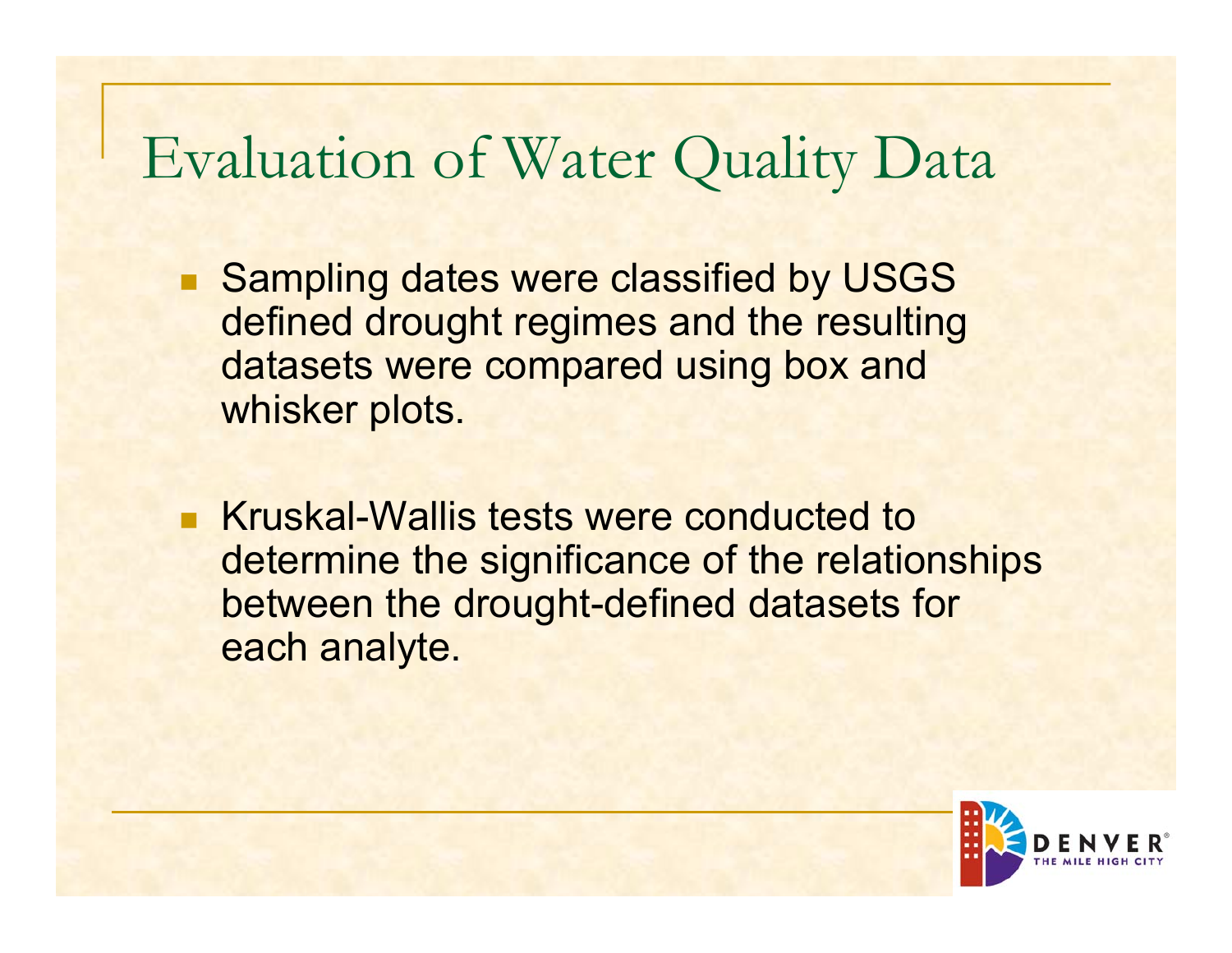### Evaluation of Water Quality Data

- $\mathcal{C}^{\mathcal{A}}$  Sampling dates were classified by USGS defined drought regimes and the resulting datasets were compared using box and whisker plots.
- $\mathbb{R}^3$  Kruskal-Wallis tests were conducted to determine the significance of the relationships between the drought-defined datasets for each analyte.

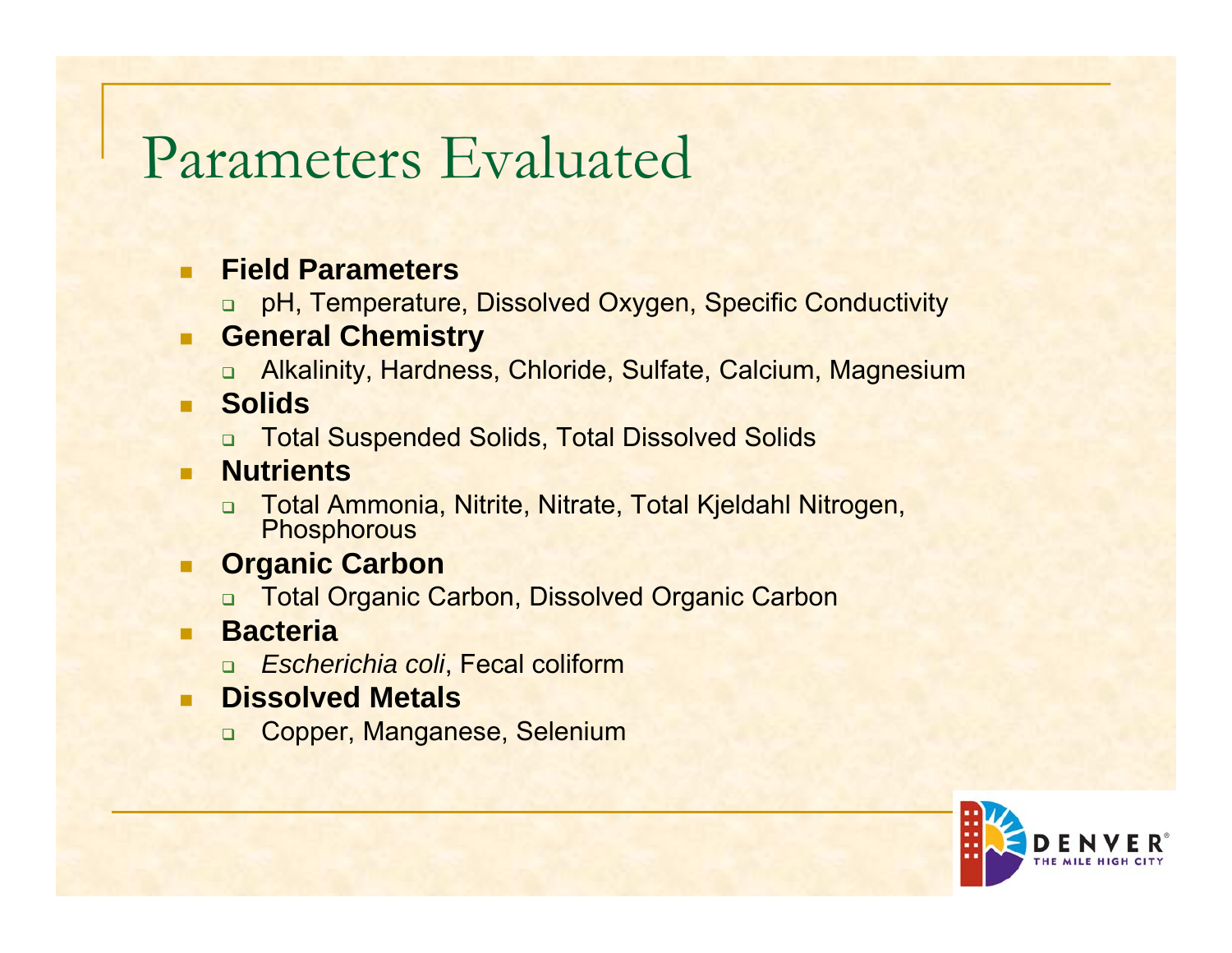## Parameters Evaluated

#### ٠ **Field Parameters**

 $\Box$ pH, Temperature, Dissolved Oxygen, Specific Conductivity

#### . **General Chemistry**

□ Alkalinity, Hardness, Chloride, Sulfate, Calcium, Magnesium

#### $\mathcal{L}_{\mathcal{A}}$ **Solids**

 $\Box$ Total Suspended Solids, Total Dissolved Solids

#### п **Nutrients**

- Total Ammonia, Nitrite, Nitrate, Total Kjeldahl Nitrogen, **Phosphorous**
- $\blacksquare$  **Organic Carbon**
	- $\Box$ Total Organic Carbon, Dissolved Organic Carbon
- . **Bacteria**
	- ❏ *Escherichia coli*, Fecal coliform
- . **Dissolved Metals**
	- Copper, Manganese, Selenium

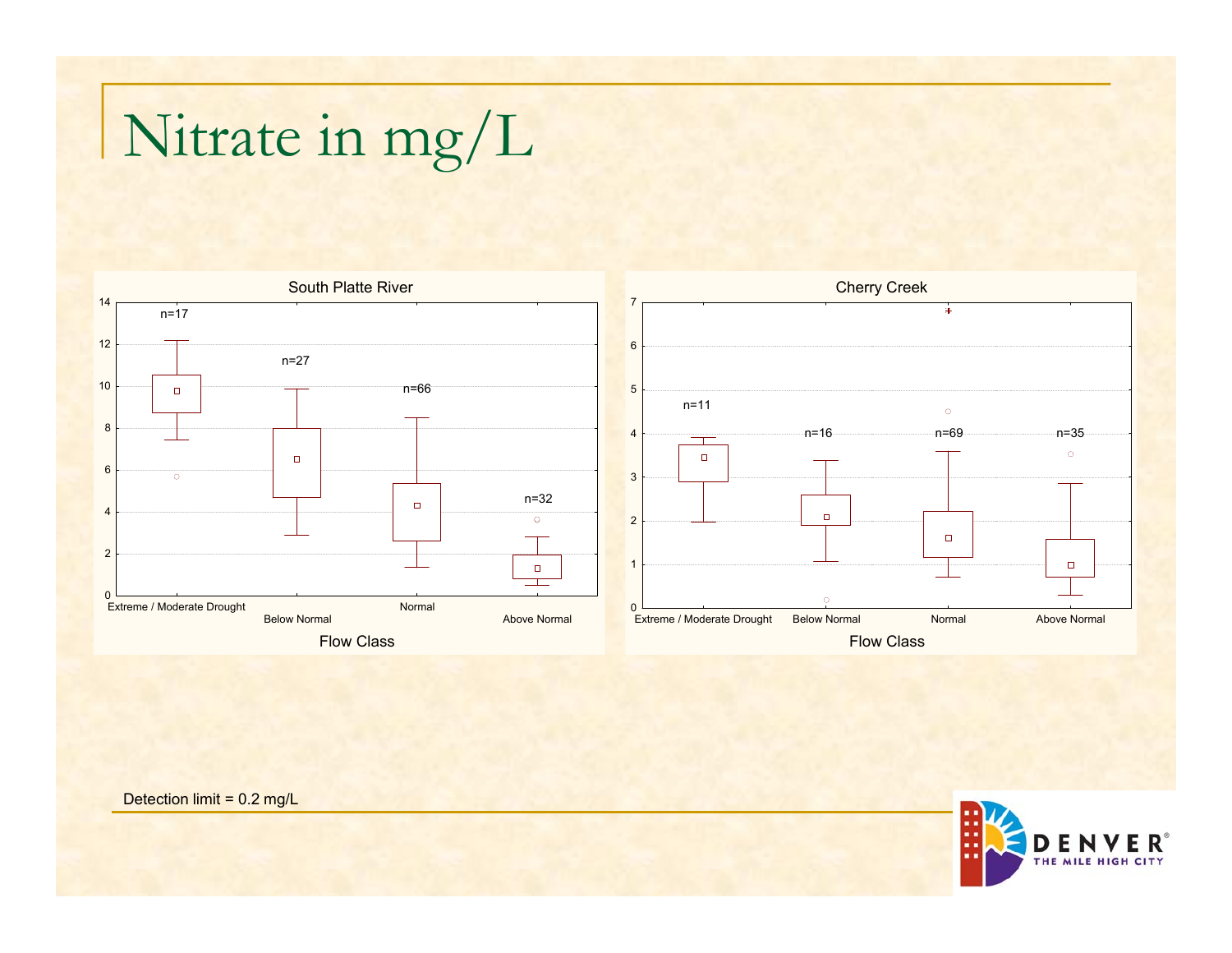# Nitrate in mg/L





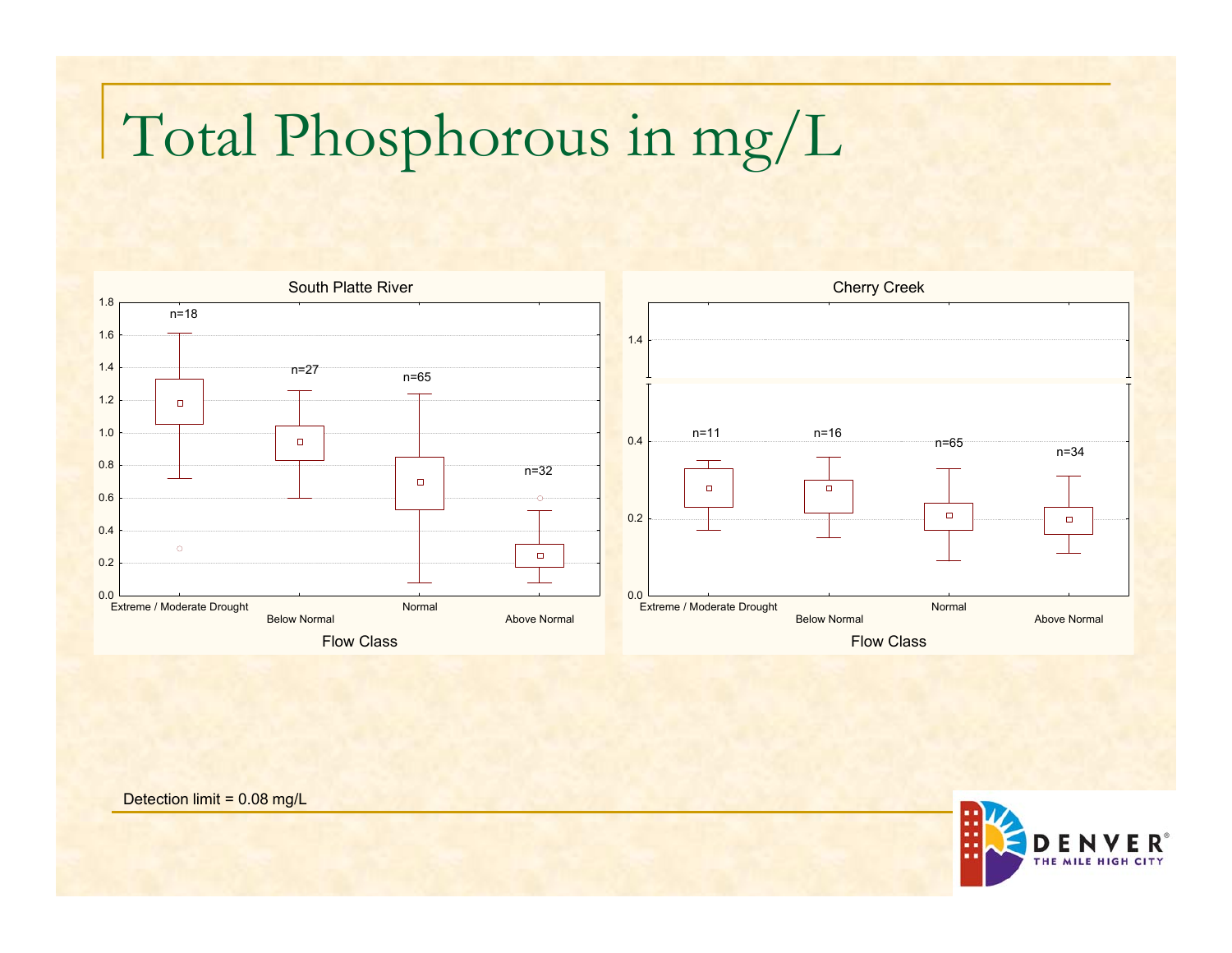# Total Phosphorous in mg/L



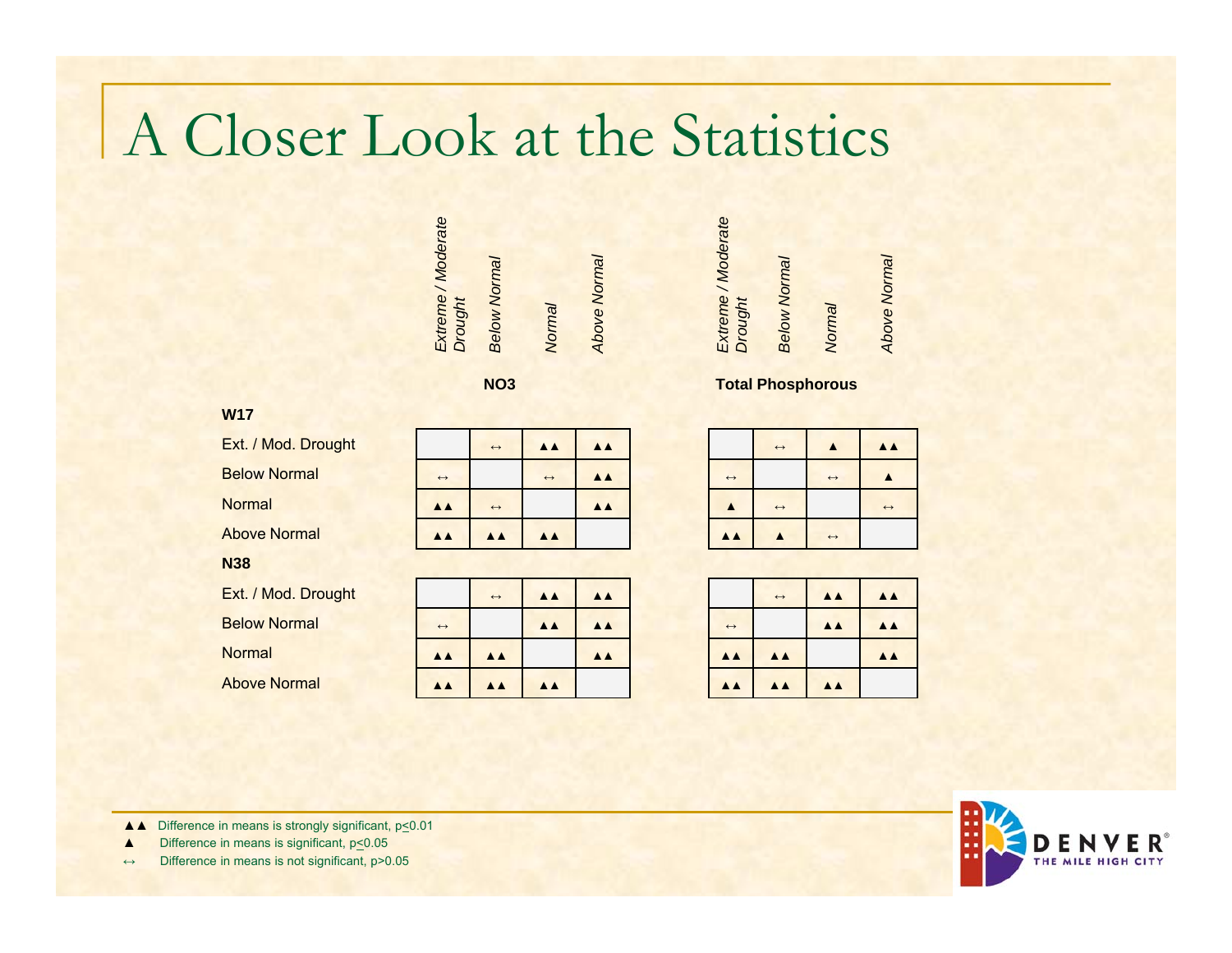### A Closer Look at the Statistics

| Extreme / Moderate<br>Extreme / Moderate<br>Above Normal<br>Above Normal<br><b>Below Normal</b><br><b>Below Normal</b><br>Drought<br>Drought<br>Normal<br>Normal |
|------------------------------------------------------------------------------------------------------------------------------------------------------------------|
|------------------------------------------------------------------------------------------------------------------------------------------------------------------|

**NO3**

### **W17**

Ext. / Mod. Drought

Below Normal

Normal

Above Normal

#### **N38**

Ext. / Mod. Drought

Below Normal

**Normal** 

Above Normal

| lod. Drought  |                   | $\leftrightarrow$ | <b>AA</b>         | <b>AA</b> |                   |
|---------------|-------------------|-------------------|-------------------|-----------|-------------------|
| <b>Normal</b> | $\leftrightarrow$ |                   | $\leftrightarrow$ | <b>AA</b> | $\leftrightarrow$ |
|               | <b>AA</b>         | $\leftrightarrow$ |                   | <b>AA</b> |                   |
| <b>Normal</b> | <b>AA</b>         | <b>AA</b>         | <b>AA</b>         |           | A A               |

| <b>lod. Drought</b> |                   | $\leftrightarrow$ | <b>AA</b> | <b>AA</b> |                   | $\leftrightarrow$ | A A       |
|---------------------|-------------------|-------------------|-----------|-----------|-------------------|-------------------|-----------|
| <b>Normal</b>       | $\leftrightarrow$ |                   | <b>AA</b> | <b>AA</b> | $\leftrightarrow$ |                   | <b>AA</b> |
|                     | <b>AA</b>         | <b>AA</b>         |           | <b>AA</b> | <b>AA</b>         | <b>AA</b>         |           |
| <b>Normal</b>       | <b>AA</b>         | <b>AA</b>         | <b>AA</b> |           | <b>AA</b>         | <b>AA</b>         | <b>AA</b> |

| $\blacktriangle$         | $\triangle$             |                   | $\leftrightarrow$ | $\blacktriangle$  | <b>AA</b>         |
|--------------------------|-------------------------|-------------------|-------------------|-------------------|-------------------|
| $\leftrightarrow$        | $\triangle$ $\triangle$ | $\leftrightarrow$ |                   | $\leftrightarrow$ |                   |
|                          | $\triangle$             |                   | $\leftrightarrow$ |                   | $\leftrightarrow$ |
| $\overline{\phantom{a}}$ |                         | <b>AA</b>         |                   | $\leftrightarrow$ |                   |

**Total Phosphorous**

| <b>AA</b><br>AA)<br><b>AA</b><br>$\leftrightarrow$<br>$\triangle$<br><b>AA</b><br><b>AA</b><br>$\overline{A}$ |                  | $\leftrightarrow$ | AA AA |  |           | $\leftrightarrow$ | AA I |  |
|---------------------------------------------------------------------------------------------------------------|------------------|-------------------|-------|--|-----------|-------------------|------|--|
|                                                                                                               |                  |                   |       |  |           |                   |      |  |
|                                                                                                               | $\blacktriangle$ |                   |       |  |           |                   |      |  |
|                                                                                                               | $\blacktriangle$ | <b>AA</b>         | AA    |  | <b>AA</b> | AA                | AA   |  |



▲ △ Difference in means is strongly significant, p<0.01

▲Difference in means is significant,  $p \le 0.05$ 

 $\leftrightarrow$  Difference in means is not significant,  $p > 0.05$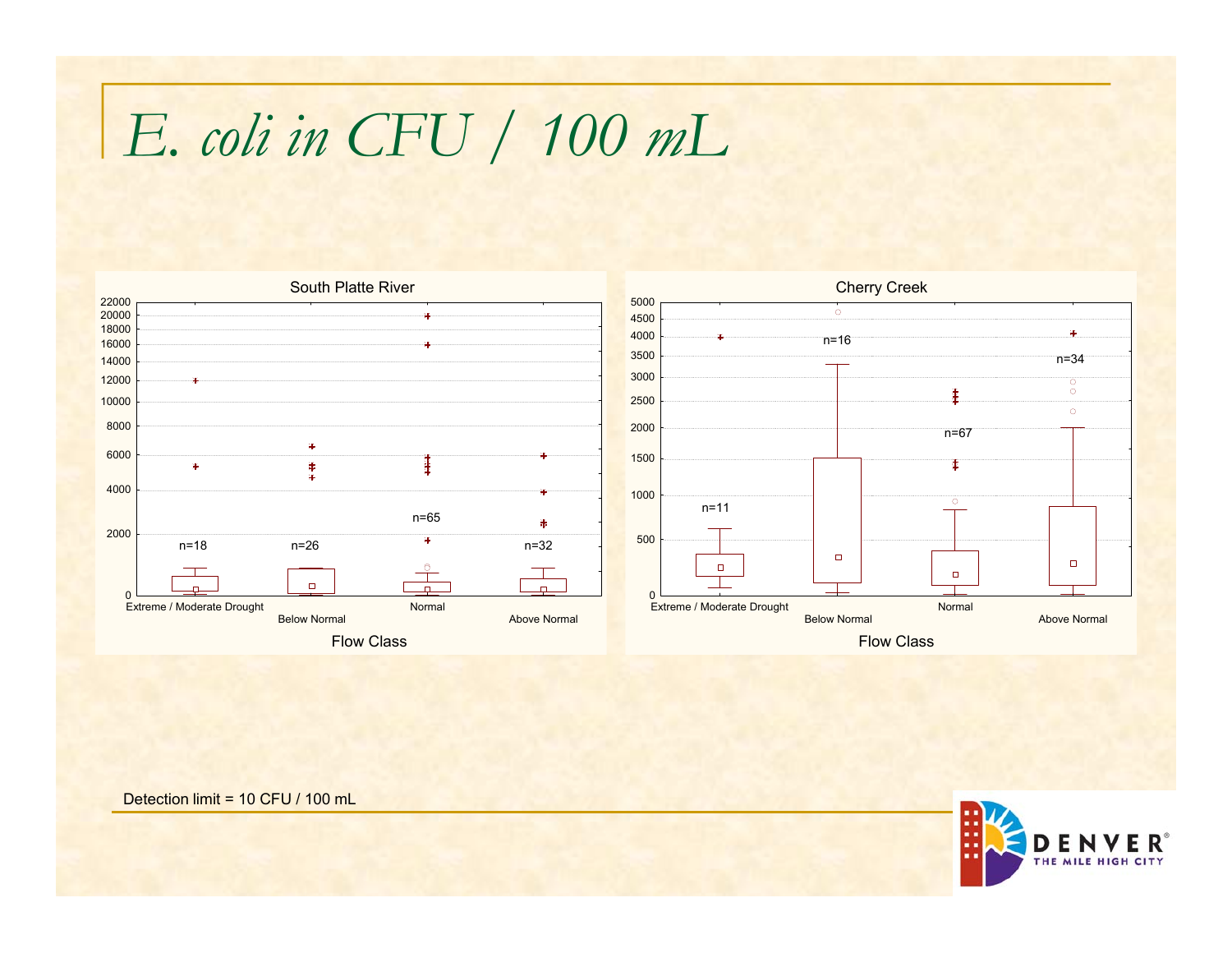## *E. coli in CFU / 100 mL*



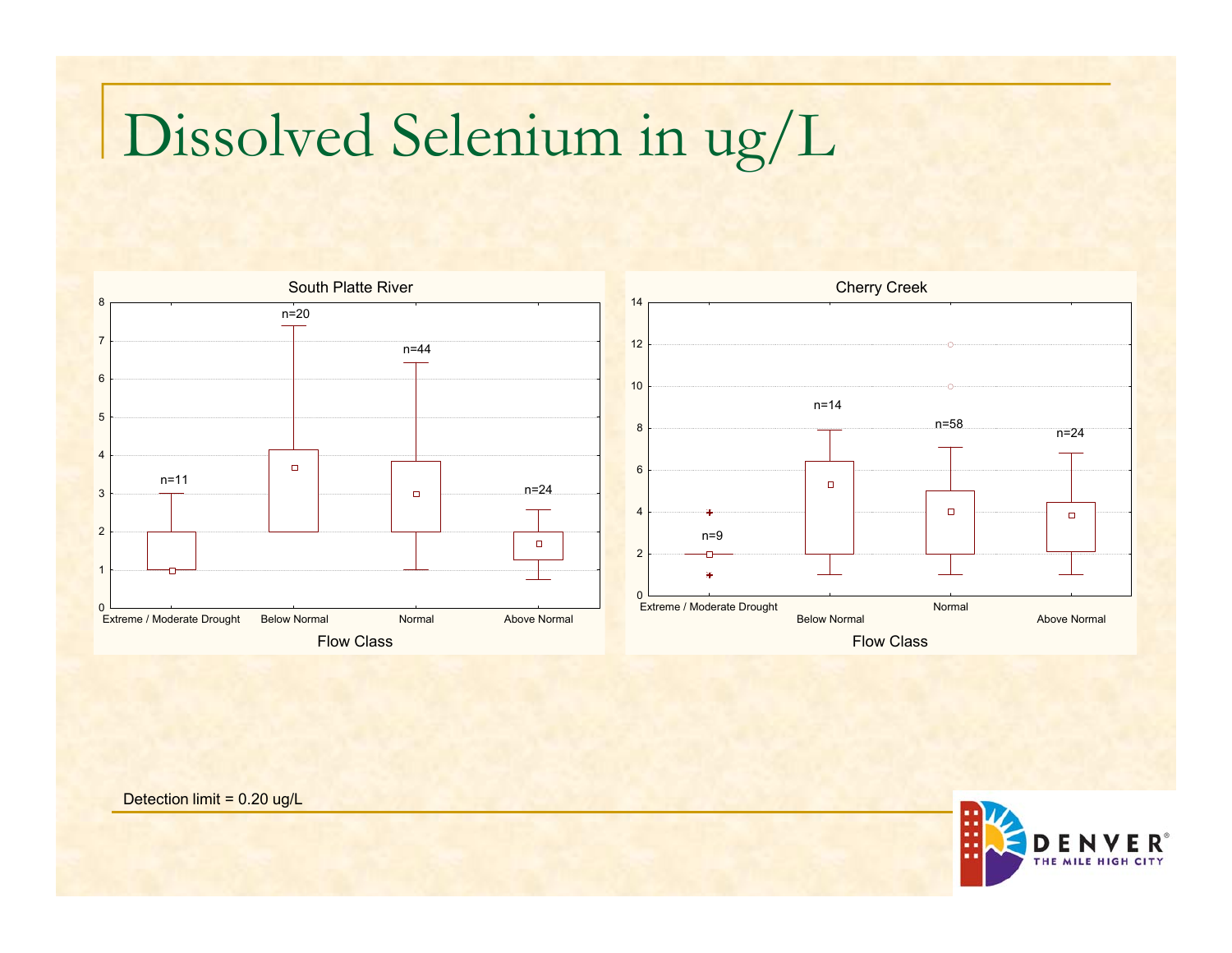## Dissolved Selenium in ug/L





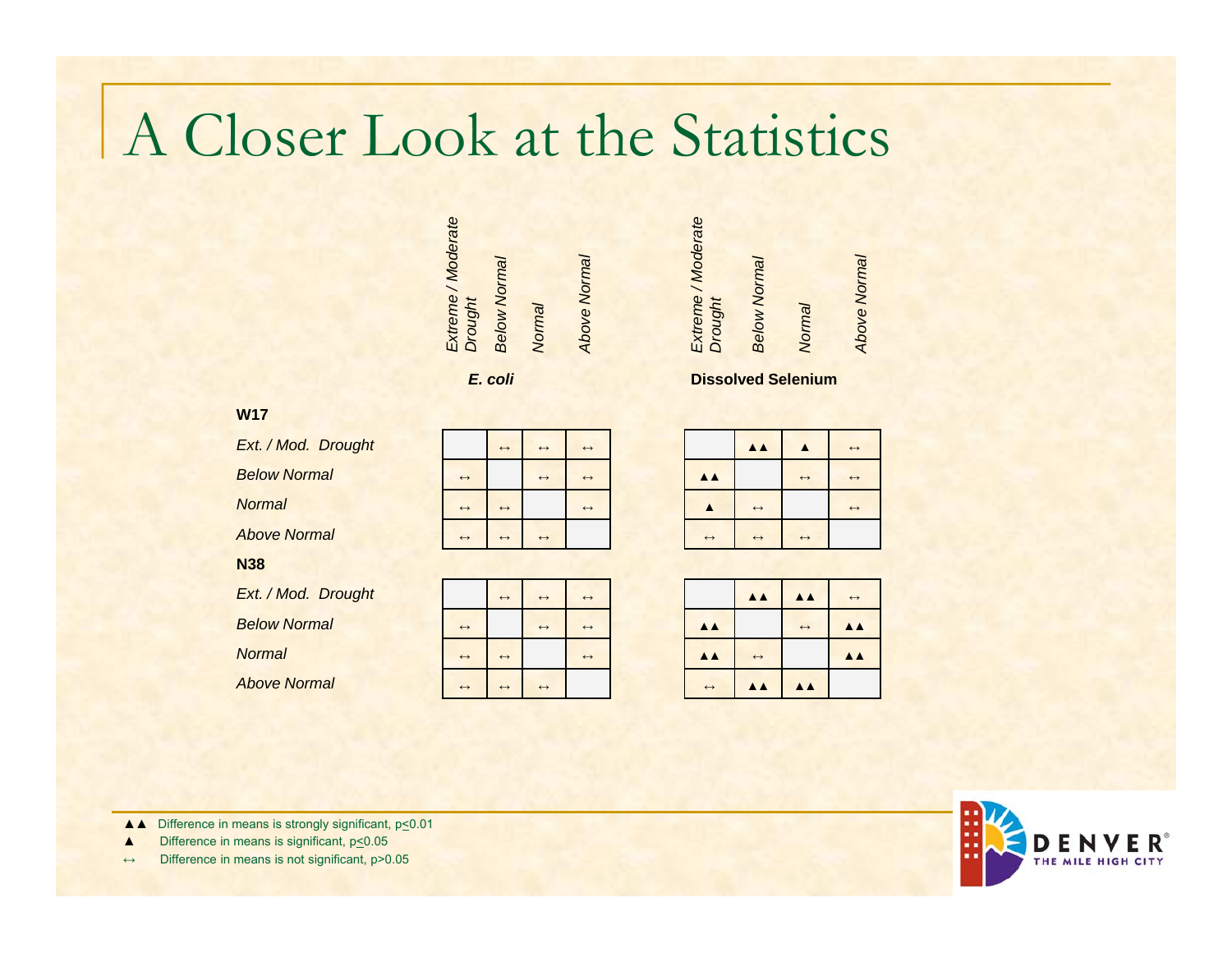## A Closer Look at the Statistics

| Extreme / Moderate | <b>Below Normal</b> |        | Above Normal |
|--------------------|---------------------|--------|--------------|
| Drought            |                     | Normal |              |

*E. coli*

### *Ext. / Mod. Drought Below NormalNormalAbove Normal*

**N38**

**W17**

*Ext. / Mod. Drought Below Normal*

*Normal*

*Above Normal*

|                   | $\leftrightarrow$     | $\leftrightarrow$ | $\leftrightarrow$ |
|-------------------|-----------------------|-------------------|-------------------|
| $\leftrightarrow$ |                       | $\leftrightarrow$ | $\leftrightarrow$ |
| $\leftrightarrow$ | $\leftrightarrow$     |                   | $\leftrightarrow$ |
| $\leftrightarrow$ | $\longleftrightarrow$ | $\leftrightarrow$ |                   |

|                   | $\longleftrightarrow$ | $\leftrightarrow$ | $\leftrightarrow$ |  |  |  |
|-------------------|-----------------------|-------------------|-------------------|--|--|--|
| $\leftrightarrow$ |                       | $\leftrightarrow$ | $\leftrightarrow$ |  |  |  |
| $\leftrightarrow$ | $\leftrightarrow$     |                   | $\leftrightarrow$ |  |  |  |
| $\leftrightarrow$ | $\leftrightarrow$     | $\leftrightarrow$ |                   |  |  |  |

| Extreme / Moderate<br>Drought | <b>Below Normal</b> | Normal |
|-------------------------------|---------------------|--------|
|                               |                     |        |

*Above Normal*

Above Normal

**Dissolved Selenium**

| $\leftrightarrow$ |                       | $\triangle$           |                       | $\leftrightarrow$ |
|-------------------|-----------------------|-----------------------|-----------------------|-------------------|
| $\leftrightarrow$ | $\triangle$           |                       | $\longleftrightarrow$ | $\leftrightarrow$ |
| $\leftrightarrow$ |                       | $\longleftrightarrow$ |                       | $\leftrightarrow$ |
|                   | $\longleftrightarrow$ | $\leftrightarrow$     | $\longleftrightarrow$ |                   |

| $\leftrightarrow$ |                                 | $\triangle$       | $\triangle$ $\triangle$ | $\leftrightarrow$       |
|-------------------|---------------------------------|-------------------|-------------------------|-------------------------|
| $\leftrightarrow$ | <b>AA</b>                       |                   | $\leftrightarrow$       | $\triangle$             |
| $\leftrightarrow$ | $\blacktriangle \blacktriangle$ | $\leftrightarrow$ |                         | $\triangle$ $\triangle$ |
|                   | $\leftrightarrow$               | $\triangle$       | $\triangle$             |                         |



▲ **▲** Difference in means is strongly significant, p<0.01

▲Difference in means is significant,  $p \le 0.05$ 

Difference in means is not significant, p>0.05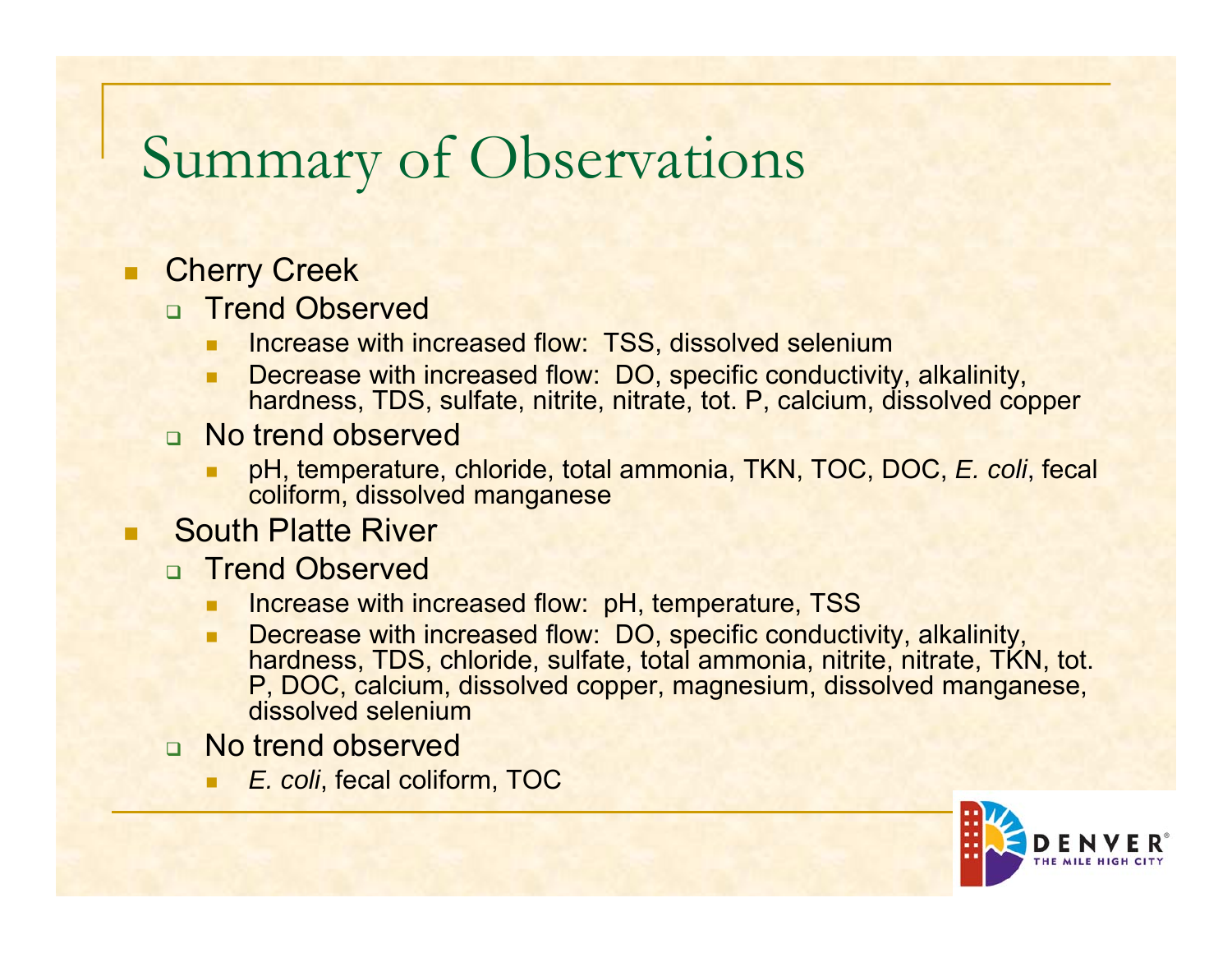## Summary of Observations

#### Π **Cherry Creek**

- n Trend Observed
	- ٠ Increase with increased flow: TSS, dissolved selenium
	- ٠ Decrease with increased flow: DO, specific conductivity, alkalinity, hardness, TDS, sulfate, nitrite, nitrate, tot. P, calcium, dissolved copper
- □ No trend observed
	- pH, temperature, chloride, total ammonia, TKN, TOC, DOC, *E. coli*, fecal coliform, dissolved manganese

#### П South Platte River

- **n** Trend Observed
	- Increase with increased flow: pH, temperature, TSS
	- п **Decrease with increased flow: DO, specific conductivity, alkalinity,** hardness, TDS, chloride, sulfate, total ammonia, nitrite, nitrate, TKN, tot. P, DOC, calcium, dissolved copper, magnesium, dissolved manganese, dissolved selenium
- □ No trend observed
	- *E. coli*, fecal coliform, TOC

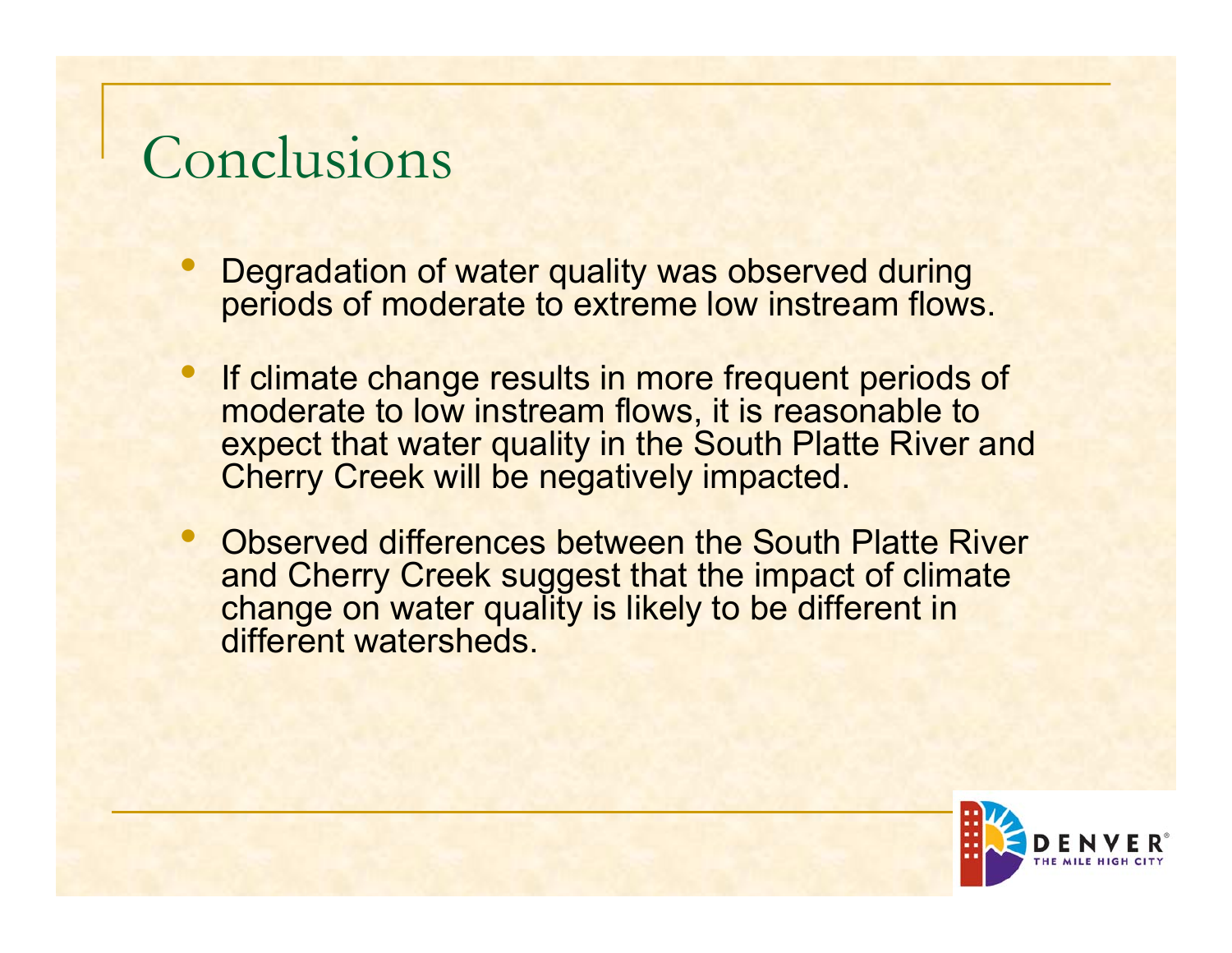## Conclusions

- $\bullet$ • Degradation of water quality was observed during periods of moderate to extreme low instream flows.
- $\bullet$  If climate change results in more frequent periods of moderate to low instream flows, it is reasonable to expect that water quality in the South Platte River and Cherry Creek will be negatively impacted.
- $\bullet$  Observed differences between the South Platte River and Cherry Creek suggest that the impact of climate change on water quality is likely to be different in different watersheds.